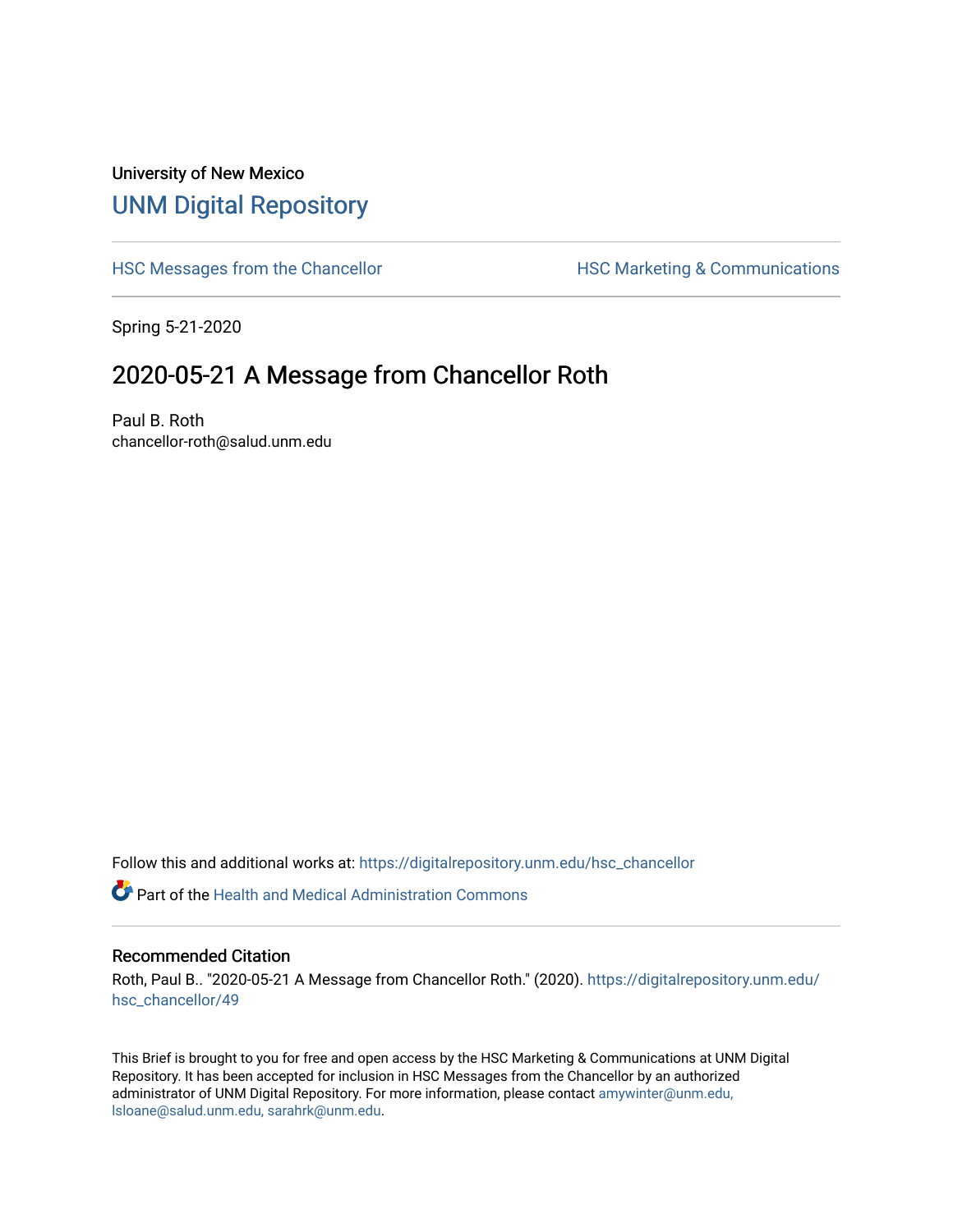## University of New Mexico [UNM Digital Repository](https://digitalrepository.unm.edu/)

[HSC Messages from the Chancellor](https://digitalrepository.unm.edu/hsc_chancellor) **HSC Marketing & Communications** 

Spring 5-21-2020

## 2020-05-21 A Message from Chancellor Roth

Paul B. Roth chancellor-roth@salud.unm.edu

Follow this and additional works at: [https://digitalrepository.unm.edu/hsc\\_chancellor](https://digitalrepository.unm.edu/hsc_chancellor?utm_source=digitalrepository.unm.edu%2Fhsc_chancellor%2F49&utm_medium=PDF&utm_campaign=PDFCoverPages) 

 $\bullet$  Part of the [Health and Medical Administration Commons](http://network.bepress.com/hgg/discipline/663?utm_source=digitalrepository.unm.edu%2Fhsc_chancellor%2F49&utm_medium=PDF&utm_campaign=PDFCoverPages)

## Recommended Citation

Roth, Paul B.. "2020-05-21 A Message from Chancellor Roth." (2020). [https://digitalrepository.unm.edu/](https://digitalrepository.unm.edu/hsc_chancellor/49?utm_source=digitalrepository.unm.edu%2Fhsc_chancellor%2F49&utm_medium=PDF&utm_campaign=PDFCoverPages) [hsc\\_chancellor/49](https://digitalrepository.unm.edu/hsc_chancellor/49?utm_source=digitalrepository.unm.edu%2Fhsc_chancellor%2F49&utm_medium=PDF&utm_campaign=PDFCoverPages) 

This Brief is brought to you for free and open access by the HSC Marketing & Communications at UNM Digital Repository. It has been accepted for inclusion in HSC Messages from the Chancellor by an authorized administrator of UNM Digital Repository. For more information, please contact [amywinter@unm.edu,](mailto:amywinter@unm.edu,%20lsloane@salud.unm.edu,%20sarahrk@unm.edu) [lsloane@salud.unm.edu, sarahrk@unm.edu.](mailto:amywinter@unm.edu,%20lsloane@salud.unm.edu,%20sarahrk@unm.edu)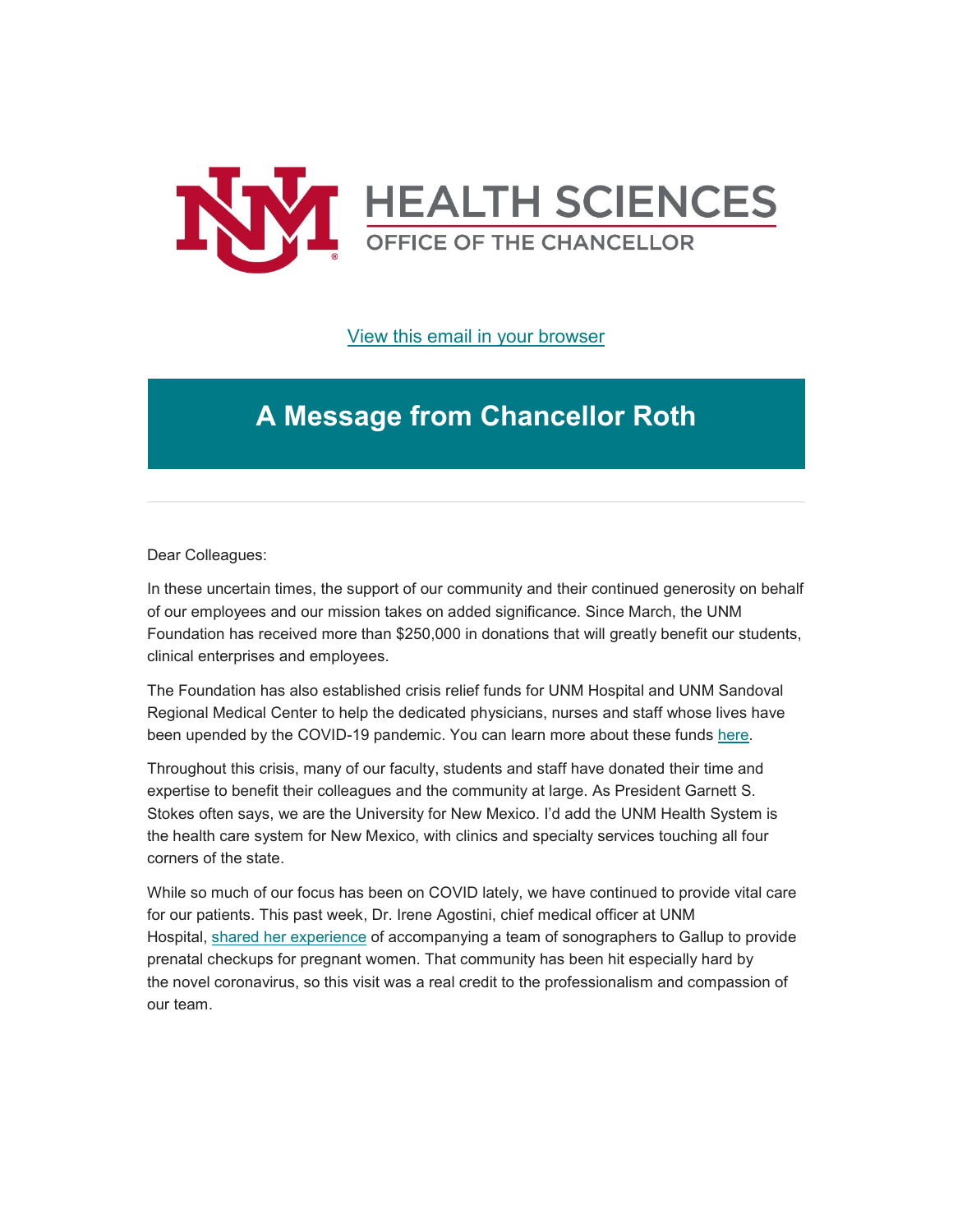

[View this email in your browser](https://mailchi.mp/94228f464f1c/message-from-the-chancellor-coronavirus-4420180?e=b4bbfca2c0)

## **A Message from Chancellor Roth**

Dear Colleagues:

In these uncertain times, the support of our community and their continued generosity on behalf of our employees and our mission takes on added significance. Since March, the UNM Foundation has received more than \$250,000 in donations that will greatly benefit our students, clinical enterprises and employees.

The Foundation has also established crisis relief funds for UNM Hospital and UNM Sandoval Regional Medical Center to help the dedicated physicians, nurses and staff whose lives have been upended by the COVID-19 pandemic. You can learn more about these funds [here.](https://unm.us19.list-manage.com/track/click?u=59ce53c1a4dedb490bac78648&id=1e27c91a6d&e=b4bbfca2c0)

Throughout this crisis, many of our faculty, students and staff have donated their time and expertise to benefit their colleagues and the community at large. As President Garnett S. Stokes often says, we are the University for New Mexico. I'd add the UNM Health System is the health care system for New Mexico, with clinics and specialty services touching all four corners of the state.

While so much of our focus has been on COVID lately, we have continued to provide vital care for our patients. This past week, Dr. Irene Agostini, chief medical officer at UNM Hospital, [shared her experience](https://unm.us19.list-manage.com/track/click?u=59ce53c1a4dedb490bac78648&id=ea88082b50&e=b4bbfca2c0) of accompanying a team of sonographers to Gallup to provide prenatal checkups for pregnant women. That community has been hit especially hard by the novel coronavirus, so this visit was a real credit to the professionalism and compassion of our team.